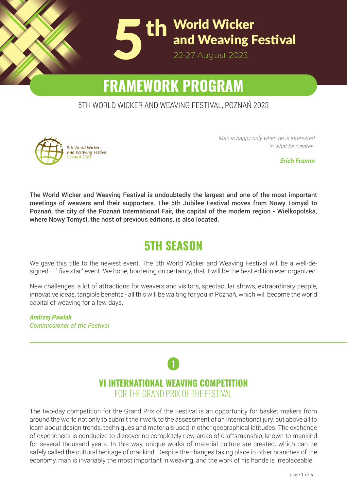

# **FRAMEWORK PROGRAM**

#### 5TH WORLD WICKER AND WEAVING FESTIVAL, POZNAŃ 2023



*Man is happy only when he is interested in what he creates.*

*Erich Fromm*

The World Wicker and Weaving Festival is undoubtedly the largest and one of the most important meetings of weavers and their supporters. The 5th Jubilee Festival moves from Nowy Tomyśl to Poznań, the city of the Poznań International Fair, the capital of the modern region - Wielkopolska, where Nowy Tomyśl, the host of previous editions, is also located.

### **5TH SEASON**

We gave this title to the newest event. The 5th World Wicker and Weaving Festival will be a well-designed – " five star" event. We hope, bordering on certainty, that it will be the best edition ever organized.

New challenges, a lot of attractions for weavers and visitors, spectacular shows, extraordinary people, innovative ideas, tangible benefits - all this will be waiting for you in Poznań, which will become the world capital of weaving for a few days.

*Andrzej Pawlak Commissioner of the Festival*

### **1 VI INTERNATIONAL WEAVING COMPETITION** FOR THE GRAND PRIX OF THE FESTIVAL

learn about design trends, techniques and materials used in other geographical latitudes. The exchange of experiences is conducive to discovering completely new areas of craftsmanship, known to mankind for several thousand years. In this way, unique works of material culture are created, which can be safely called the cultural heritage of mankind. Despite the changes taking place in other branches of the  $\frac{1}{2}$ economy, man is invariably the most important in weaving, and the work of his hands is irreplaceable. The two-day competition for the Grand Prix of the Festival is an opportunity for basket makers from around the world not only to submit their work to the assessment of an international jury, but above all to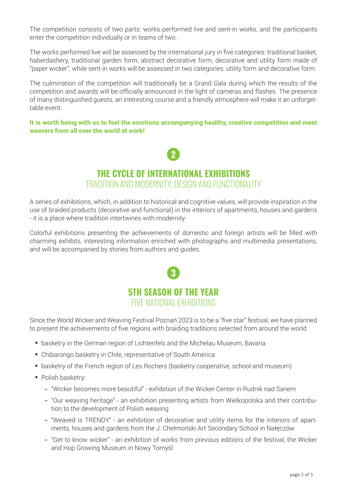The competition consists of two parts: works performed live and sent-in works, and the participants enter the competition individually or in teams of two.

The works performed live will be assessed by the international jury in five categories: traditional basket, haberdashery, traditional garden form, abstract decorative form, decorative and utility form made of "paper wicker", while sent-in works will be assessed in two categories: utility form and decorative form.

The culmination of the competition will traditionally be a Grand Gala during which the results of the competition and awards will be officially announced in the light of cameras and flashes. The presence of many distinguished guests, an interesting course and a friendly atmosphere will make it an unforgettable event.

It is worth being with us to feel the emotions accompanying healthy, creative competition and meet weavers from all over the world at work!



### **THE CYCLE OF INTERNATIONAL EXHIBITIONS** TRADITION AND MODERNITY, DESIGN AND FUNCTIONALITY

A series of exhibitions, which, in addition to historical and cognitive values, will provide inspiration in the use of braided products (decorative and functional) in the interiors of apartments, houses and gardens - it is a place where tradition intertwines with modernity.

Colorful exhibitions presenting the achievements of domestic and foreign artists will be filled with charming exhibits, interesting information enriched with photographs and multimedia presentations, and will be accompanied by stories from authors and guides.



Since the World Wicker and Weaving Festival Poznań 2023 is to be a "five star" festival, we have planned to present the achievements of five regions with braiding traditions selected from around the world:

- basketry in the German region of Lichtenfels and the Michelau Museum, Bavaria
- Chibarongo basketry in Chile, representative of South America
- basketry of the French region of Les Rochers (basketry cooperative, school and museum)
- Polish basketry:
	- "Wicker becomes more beautiful" exhibition of the Wicker Center in Rudnik nad Sanem
	- "Our weaving heritage" an exhibition presenting artists from Wielkopolska and their contribution to the development of Polish weaving
	- "Weaved is TRENDY" an exhibition of decorative and utility items for the interiors of apartments, houses and gardens from the J. Chełmoński Art Secondary School in Nałęczów
	- "Get to know wicker" an exhibition of works from previous editions of the festival, the Wicker and Hop Growing Museum in Nowy Tomyśl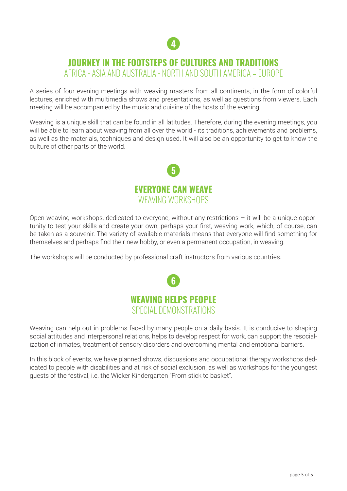

### **JOURNEY IN THE FOOTSTEPS OF CULTURES AND TRADITIONS**

AFRICA - ASIA AND AUSTRALIA - NORTH AND SOUTH AMERICA – EUROPE

A series of four evening meetings with weaving masters from all continents, in the form of colorful lectures, enriched with multimedia shows and presentations, as well as questions from viewers. Each meeting will be accompanied by the music and cuisine of the hosts of the evening.

Weaving is a unique skill that can be found in all latitudes. Therefore, during the evening meetings, you will be able to learn about weaving from all over the world - its traditions, achievements and problems, as well as the materials, techniques and design used. It will also be an opportunity to get to know the culture of other parts of the world.



Open weaving workshops, dedicated to everyone, without any restrictions  $-$  it will be a unique opportunity to test your skills and create your own, perhaps your first, weaving work, which, of course, can be taken as a souvenir. The variety of available materials means that everyone will find something for themselves and perhaps find their new hobby, or even a permanent occupation, in weaving.

The workshops will be conducted by professional craft instructors from various countries.



Weaving can help out in problems faced by many people on a daily basis. It is conducive to shaping social attitudes and interpersonal relations, helps to develop respect for work, can support the resocialization of inmates, treatment of sensory disorders and overcoming mental and emotional barriers.

In this block of events, we have planned shows, discussions and occupational therapy workshops dedicated to people with disabilities and at risk of social exclusion, as well as workshops for the youngest guests of the festival, i.e. the Wicker Kindergarten "From stick to basket".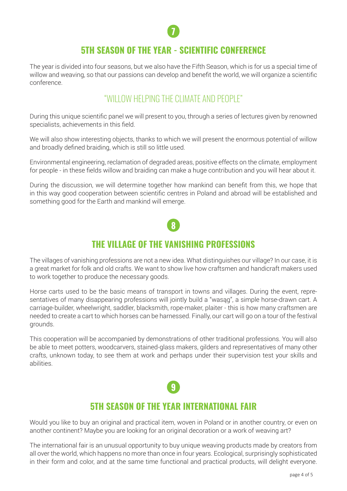

### **5TH SEASON OF THE YEAR - SCIENTIFIC CONFERENCE**

The year is divided into four seasons, but we also have the Fifth Season, which is for us a special time of willow and weaving, so that our passions can develop and benefit the world, we will organize a scientific conference.

### "WILLOW HELPING THE CLIMATE AND PEOPLE"

During this unique scientific panel we will present to you, through a series of lectures given by renowned specialists, achievements in this field.

We will also show interesting objects, thanks to which we will present the enormous potential of willow and broadly defined braiding, which is still so little used.

Environmental engineering, reclamation of degraded areas, positive effects on the climate, employment for people - in these fields willow and braiding can make a huge contribution and you will hear about it.

During the discussion, we will determine together how mankind can benefit from this, we hope that in this way good cooperation between scientific centres in Poland and abroad will be established and something good for the Earth and mankind will emerge.

# **8**

### **THE VILLAGE OF THE VANISHING PROFESSIONS**

The villages of vanishing professions are not a new idea. What distinguishes our village? In our case, it is a great market for folk and old crafts. We want to show live how craftsmen and handicraft makers used to work together to produce the necessary goods.

Horse carts used to be the basic means of transport in towns and villages. During the event, representatives of many disappearing professions will jointly build a "wasąg", a simple horse-drawn cart. A carriage-builder, wheelwright, saddler, blacksmith, rope-maker, plaiter - this is how many craftsmen are needed to create a cart to which horses can be harnessed. Finally, our cart will go on a tour of the festival grounds.

This cooperation will be accompanied by demonstrations of other traditional professions. You will also be able to meet potters, woodcarvers, stained-glass makers, gilders and representatives of many other crafts, unknown today, to see them at work and perhaps under their supervision test your skills and abilities.

## **9**

### **5TH SEASON OF THE YEAR INTERNATIONAL FAIR**

Would you like to buy an original and practical item, woven in Poland or in another country, or even on another continent? Maybe you are looking for an original decoration or a work of weaving art?

The international fair is an unusual opportunity to buy unique weaving products made by creators from all over the world, which happens no more than once in four years. Ecological, surprisingly sophisticated in their form and color, and at the same time functional and practical products, will delight everyone.